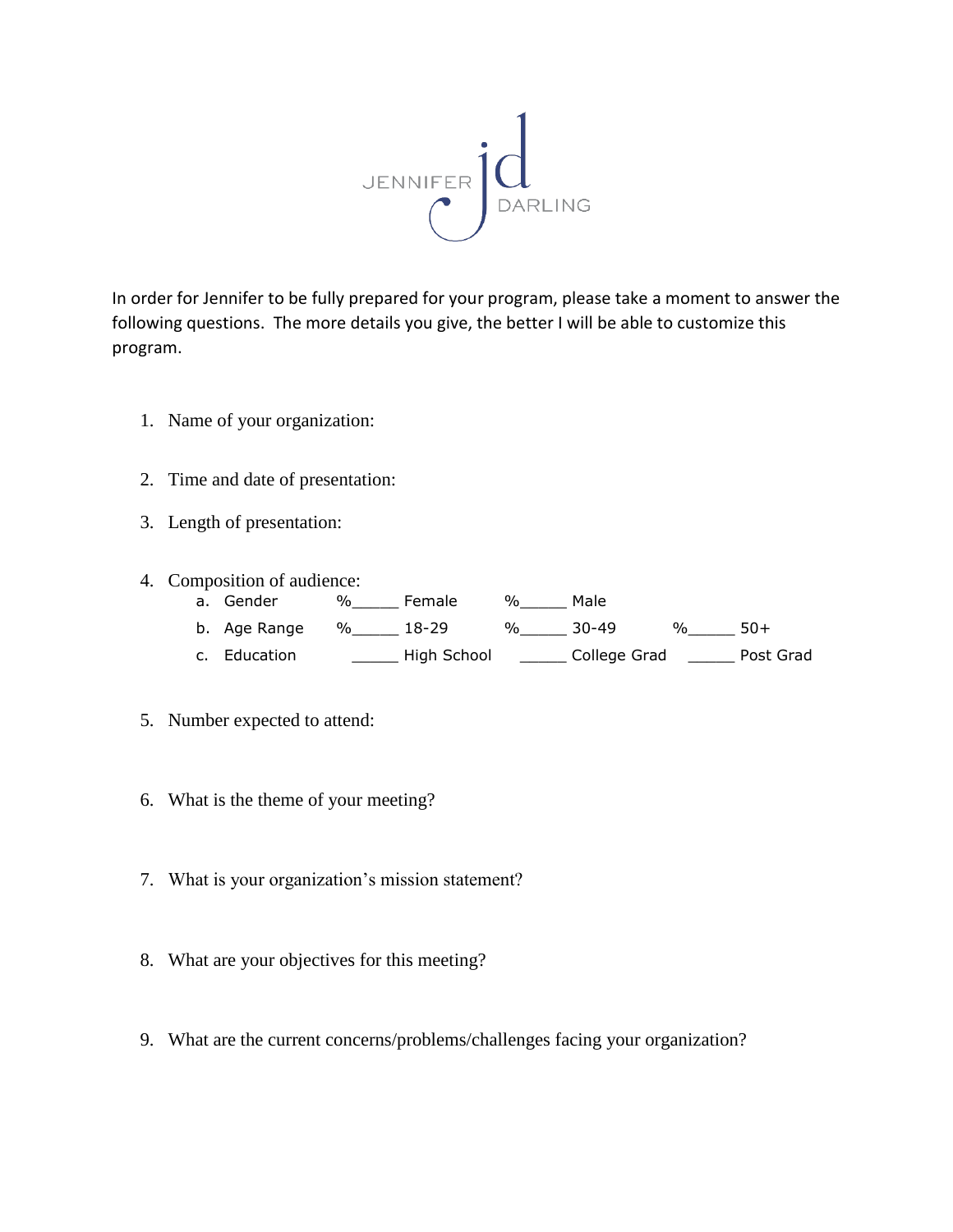

In order for Jennifer to be fully prepared for your program, please take a moment to answer the following questions. The more details you give, the better I will be able to customize this program.

- 1. Name of your organization:
- 2. Time and date of presentation:
- 3. Length of presentation:
- 4. Composition of audience:
	- a. Gender %\_\_\_\_\_\_ Female %\_\_\_\_\_\_ Male b. Age Range  $\frac{96}{2}$  18-29  $\frac{96}{2}$  30-49  $\frac{96}{2}$  50+ c. Education \_\_\_\_\_ High School \_\_\_\_\_ College Grad \_\_\_\_\_ Post Grad
- 5. Number expected to attend:
- 6. What is the theme of your meeting?
- 7. What is your organization's mission statement?
- 8. What are your objectives for this meeting?
- 9. What are the current concerns/problems/challenges facing your organization?